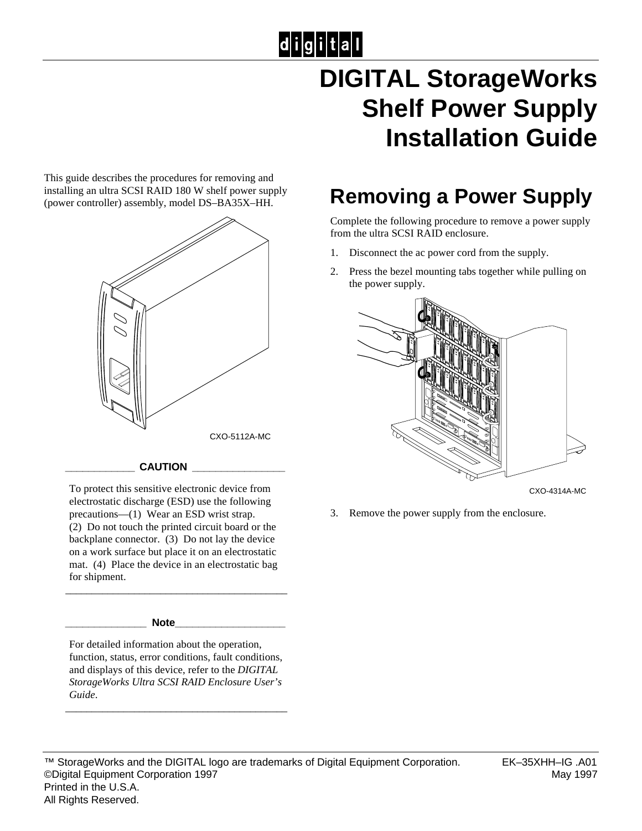# $|d|i|g|i|t|a|l|$

## **DIGITAL StorageWorks Shelf Power Supply Installation Guide**

This guide describes the procedures for removing and installing an ultra SCSI RAID 180 W shelf power supply (power controller) assembly, model DS–BA35X–HH.



#### **\_\_\_\_\_\_\_\_\_\_\_\_ CAUTION \_\_\_\_\_\_\_\_\_\_\_\_\_\_\_\_**

To protect this sensitive electronic device from electrostatic discharge (ESD) use the following precautions—(1) Wear an ESD wrist strap. (2) Do not touch the printed circuit board or the backplane connector. (3) Do not lay the device on a work surface but place it on an electrostatic mat. (4) Place the device in an electrostatic bag for shipment.

\_\_\_\_\_\_\_\_\_\_\_\_\_\_\_\_\_\_\_\_\_\_\_\_\_\_\_\_\_\_\_\_\_\_\_\_\_\_\_\_\_\_

#### **\_\_\_\_\_\_\_\_\_\_\_\_\_\_ Note\_\_\_\_\_\_\_\_\_\_\_\_\_\_\_\_\_\_\_**

For detailed information about the operation, function, status, error conditions, fault conditions, and displays of this device, refer to the *DIGITAL StorageWorks Ultra SCSI RAID Enclosure User's Guide*.

\_\_\_\_\_\_\_\_\_\_\_\_\_\_\_\_\_\_\_\_\_\_\_\_\_\_\_\_\_\_\_\_\_\_\_\_\_\_\_\_\_\_

### **Removing a Power Supply**

Complete the following procedure to remove a power supply from the ultra SCSI RAID enclosure.

- 1. Disconnect the ac power cord from the supply.
- 2. Press the bezel mounting tabs together while pulling on the power supply.



CXO-4314A-MC

3. Remove the power supply from the enclosure.